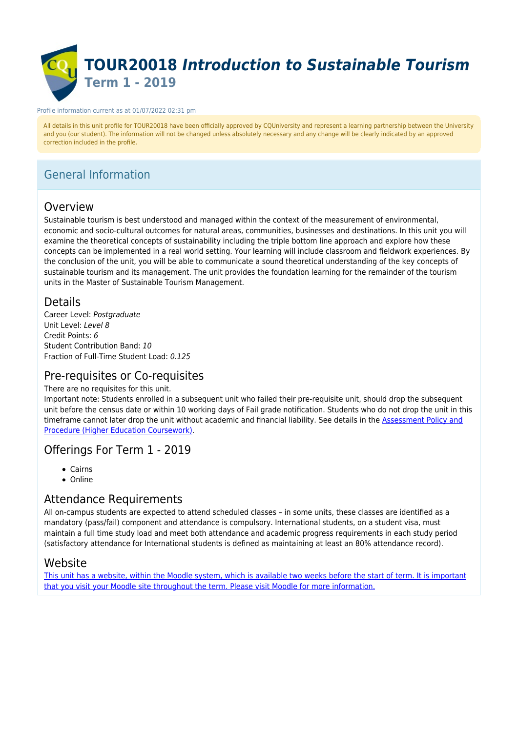

#### Profile information current as at 01/07/2022 02:31 pm

All details in this unit profile for TOUR20018 have been officially approved by CQUniversity and represent a learning partnership between the University and you (our student). The information will not be changed unless absolutely necessary and any change will be clearly indicated by an approved correction included in the profile.

# General Information

# Overview

Sustainable tourism is best understood and managed within the context of the measurement of environmental, economic and socio-cultural outcomes for natural areas, communities, businesses and destinations. In this unit you will examine the theoretical concepts of sustainability including the triple bottom line approach and explore how these concepts can be implemented in a real world setting. Your learning will include classroom and fieldwork experiences. By the conclusion of the unit, you will be able to communicate a sound theoretical understanding of the key concepts of sustainable tourism and its management. The unit provides the foundation learning for the remainder of the tourism units in the Master of Sustainable Tourism Management.

## Details

Career Level: Postgraduate Unit Level: Level 8 Credit Points: 6 Student Contribution Band: 10 Fraction of Full-Time Student Load: 0.125

# Pre-requisites or Co-requisites

### There are no requisites for this unit.

Important note: Students enrolled in a subsequent unit who failed their pre-requisite unit, should drop the subsequent unit before the census date or within 10 working days of Fail grade notification. Students who do not drop the unit in this timeframe cannot later drop the unit without academic and financial liability. See details in the **Assessment Policy and** [Procedure \(Higher Education Coursework\)](https://www.cqu.edu.au/policy).

# Offerings For Term 1 - 2019

- Cairns
- Online

# Attendance Requirements

All on-campus students are expected to attend scheduled classes – in some units, these classes are identified as a mandatory (pass/fail) component and attendance is compulsory. International students, on a student visa, must maintain a full time study load and meet both attendance and academic progress requirements in each study period (satisfactory attendance for International students is defined as maintaining at least an 80% attendance record).

## Website

[This unit has a website, within the Moodle system, which is available two weeks before the start of term. It is important](https://moodle.cqu.edu.au) [that you visit your Moodle site throughout the term. Please visit Moodle for more information.](https://moodle.cqu.edu.au)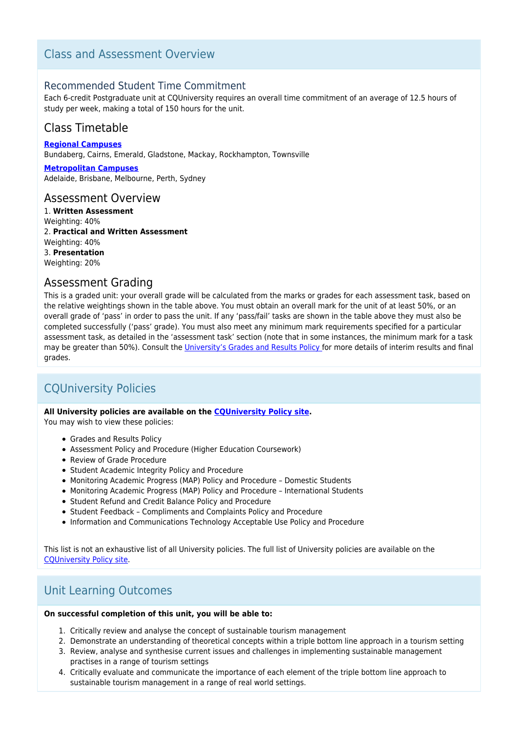# Class and Assessment Overview

## Recommended Student Time Commitment

Each 6-credit Postgraduate unit at CQUniversity requires an overall time commitment of an average of 12.5 hours of study per week, making a total of 150 hours for the unit.

# Class Timetable

**[Regional Campuses](https://handbook.cqu.edu.au/facet/timetables)** Bundaberg, Cairns, Emerald, Gladstone, Mackay, Rockhampton, Townsville

**[Metropolitan Campuses](https://handbook.cqu.edu.au/facet/timetables)** Adelaide, Brisbane, Melbourne, Perth, Sydney

## Assessment Overview

1. **Written Assessment** Weighting: 40% 2. **Practical and Written Assessment** Weighting: 40% 3. **Presentation** Weighting: 20%

## Assessment Grading

This is a graded unit: your overall grade will be calculated from the marks or grades for each assessment task, based on the relative weightings shown in the table above. You must obtain an overall mark for the unit of at least 50%, or an overall grade of 'pass' in order to pass the unit. If any 'pass/fail' tasks are shown in the table above they must also be completed successfully ('pass' grade). You must also meet any minimum mark requirements specified for a particular assessment task, as detailed in the 'assessment task' section (note that in some instances, the minimum mark for a task may be greater than 50%). Consult the [University's Grades and Results Policy](https://www.cqu.edu.au/policy) for more details of interim results and final grades.

# CQUniversity Policies

### **All University policies are available on the [CQUniversity Policy site.](https://policy.cqu.edu.au/)**

You may wish to view these policies:

- Grades and Results Policy
- Assessment Policy and Procedure (Higher Education Coursework)
- Review of Grade Procedure
- Student Academic Integrity Policy and Procedure
- Monitoring Academic Progress (MAP) Policy and Procedure Domestic Students
- Monitoring Academic Progress (MAP) Policy and Procedure International Students
- Student Refund and Credit Balance Policy and Procedure
- Student Feedback Compliments and Complaints Policy and Procedure
- Information and Communications Technology Acceptable Use Policy and Procedure

This list is not an exhaustive list of all University policies. The full list of University policies are available on the [CQUniversity Policy site.](https://policy.cqu.edu.au/)

# Unit Learning Outcomes

### **On successful completion of this unit, you will be able to:**

- 1. Critically review and analyse the concept of sustainable tourism management
- 2. Demonstrate an understanding of theoretical concepts within a triple bottom line approach in a tourism setting
- 3. Review, analyse and synthesise current issues and challenges in implementing sustainable management practises in a range of tourism settings
- 4. Critically evaluate and communicate the importance of each element of the triple bottom line approach to sustainable tourism management in a range of real world settings.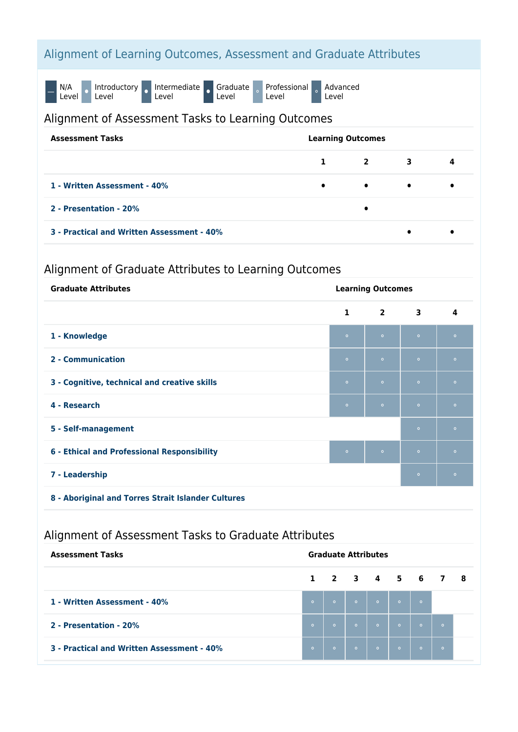# Alignment of Learning Outcomes, Assessment and Graduate Attributes

N/A<br>Level O Introductory o Intermediate o Graduate Level Professional Level Advanced Level

## Alignment of Assessment Tasks to Learning Outcomes

| <b>Assessment Tasks</b>                    | <b>Learning Outcomes</b> |                         |           |   |
|--------------------------------------------|--------------------------|-------------------------|-----------|---|
|                                            | 1                        | $\overline{\mathbf{2}}$ | 3         | 4 |
| 1 - Written Assessment - 40%               | $\bullet$                | $\bullet$               | $\bullet$ |   |
| 2 - Presentation - 20%                     |                          | ٠                       |           |   |
| 3 - Practical and Written Assessment - 40% |                          |                         | $\bullet$ |   |

# Alignment of Graduate Attributes to Learning Outcomes

| <b>Graduate Attributes</b>                   | <b>Learning Outcomes</b> |                |           |         |
|----------------------------------------------|--------------------------|----------------|-----------|---------|
|                                              | $\mathbf{1}$             | $\overline{2}$ | 3         | 4       |
| 1 - Knowledge                                | $\circ$                  | $\circ$        | $\circ$   | $\circ$ |
| 2 - Communication                            | $\circ$                  | $\circ$        | $\bullet$ | $\circ$ |
| 3 - Cognitive, technical and creative skills | $\circ$                  | $\circ$        | $\circ$   | $\circ$ |
| 4 - Research                                 | $\circ$                  | $\circ$        | $\circ$   | $\circ$ |
| 5 - Self-management                          |                          |                | $\circ$   | $\circ$ |
| 6 - Ethical and Professional Responsibility  | $\circ$                  | $\circ$        | $\circ$   | $\circ$ |
| 7 - Leadership                               |                          |                | $\bullet$ | $\circ$ |
|                                              |                          |                |           |         |

**8 - Aboriginal and Torres Strait Islander Cultures**

# Alignment of Assessment Tasks to Graduate Attributes

| <b>Assessment Tasks</b>                    | <b>Graduate Attributes</b> |         |         |                         |           |                                 |         |  |
|--------------------------------------------|----------------------------|---------|---------|-------------------------|-----------|---------------------------------|---------|--|
|                                            |                            |         |         |                         |           | $1 \t2 \t3 \t4 \t5 \t6 \t7 \t8$ |         |  |
| 1 - Written Assessment - 40%               | $\circ$                    | $\circ$ |         | $\circ$ $\circ$ $\circ$ |           | $\circ$ $\circ$                 |         |  |
| 2 - Presentation - 20%                     | $\circ$                    | $\circ$ | $\circ$ | $\circ$                 | $\bullet$ | $\circ$                         | $\circ$ |  |
| 3 - Practical and Written Assessment - 40% | $\circ$                    | $\circ$ | $\circ$ | $\circ$                 | $\circ$   | $\circ$                         | $\circ$ |  |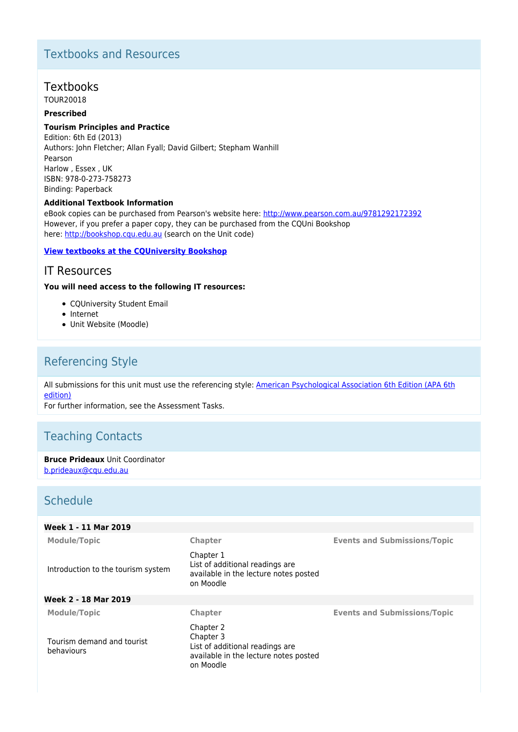# Textbooks and Resources

# **Textbooks**

TOUR20018

### **Prescribed**

### **Tourism Principles and Practice**

Edition: 6th Ed (2013) Authors: John Fletcher; Allan Fyall; David Gilbert; Stepham Wanhill Pearson Harlow , Essex , UK ISBN: 978-0-273-758273 Binding: Paperback

#### **Additional Textbook Information**

eBook copies can be purchased from Pearson's website here: <http://www.pearson.com.au/9781292172392> However, if you prefer a paper copy, they can be purchased from the CQUni Bookshop here: <http://bookshop.cqu.edu.au> (search on the Unit code)

#### **[View textbooks at the CQUniversity Bookshop](https://bookshop.cqu.edu.au/)**

## IT Resources

#### **You will need access to the following IT resources:**

- CQUniversity Student Email
- Internet
- Unit Website (Moodle)

# Referencing Style

All submissions for this unit must use the referencing style: [American Psychological Association 6th Edition \(APA 6th](https://sportal.cqu.edu.au/__data/assets/pdf_file/0026/107684/APA_Referencing_Guide-2019.pdf) [edition\)](https://sportal.cqu.edu.au/__data/assets/pdf_file/0026/107684/APA_Referencing_Guide-2019.pdf)

For further information, see the Assessment Tasks.

# Teaching Contacts

**Bruce Prideaux** Unit Coordinator [b.prideaux@cqu.edu.au](mailto:b.prideaux@cqu.edu.au)

# Schedule

| Week 1 - 11 Mar 2019                     |                                                                                                                 |                                     |
|------------------------------------------|-----------------------------------------------------------------------------------------------------------------|-------------------------------------|
| <b>Module/Topic</b>                      | Chapter                                                                                                         | <b>Events and Submissions/Topic</b> |
| Introduction to the tourism system       | Chapter 1<br>List of additional readings are<br>available in the lecture notes posted<br>on Moodle              |                                     |
| Week 2 - 18 Mar 2019                     |                                                                                                                 |                                     |
| <b>Module/Topic</b>                      | Chapter                                                                                                         | <b>Events and Submissions/Topic</b> |
| Tourism demand and tourist<br>behaviours | Chapter 2<br>Chapter 3<br>List of additional readings are<br>available in the lecture notes posted<br>on Moodle |                                     |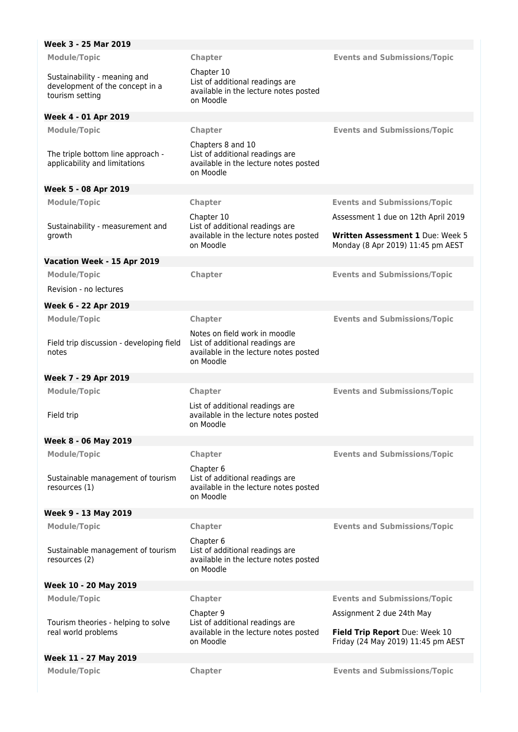| Week 3 - 25 Mar 2019                                                               |                                                                                                                        |                                                                                                              |
|------------------------------------------------------------------------------------|------------------------------------------------------------------------------------------------------------------------|--------------------------------------------------------------------------------------------------------------|
| <b>Module/Topic</b>                                                                | Chapter                                                                                                                | <b>Events and Submissions/Topic</b>                                                                          |
| Sustainability - meaning and<br>development of the concept in a<br>tourism setting | Chapter 10<br>List of additional readings are<br>available in the lecture notes posted<br>on Moodle                    |                                                                                                              |
| Week 4 - 01 Apr 2019                                                               |                                                                                                                        |                                                                                                              |
| <b>Module/Topic</b>                                                                | Chapter                                                                                                                | <b>Events and Submissions/Topic</b>                                                                          |
| The triple bottom line approach -<br>applicability and limitations                 | Chapters 8 and 10<br>List of additional readings are<br>available in the lecture notes posted<br>on Moodle             |                                                                                                              |
| Week 5 - 08 Apr 2019                                                               |                                                                                                                        |                                                                                                              |
| <b>Module/Topic</b>                                                                | Chapter                                                                                                                | <b>Events and Submissions/Topic</b>                                                                          |
| Sustainability - measurement and<br>growth                                         | Chapter 10<br>List of additional readings are<br>available in the lecture notes posted<br>on Moodle                    | Assessment 1 due on 12th April 2019<br>Written Assessment 1 Due: Week 5<br>Monday (8 Apr 2019) 11:45 pm AEST |
| Vacation Week - 15 Apr 2019                                                        |                                                                                                                        |                                                                                                              |
| Module/Topic                                                                       | Chapter                                                                                                                | <b>Events and Submissions/Topic</b>                                                                          |
| Revision - no lectures                                                             |                                                                                                                        |                                                                                                              |
| Week 6 - 22 Apr 2019                                                               |                                                                                                                        |                                                                                                              |
| <b>Module/Topic</b>                                                                | Chapter                                                                                                                | <b>Events and Submissions/Topic</b>                                                                          |
| Field trip discussion - developing field<br>notes                                  | Notes on field work in moodle<br>List of additional readings are<br>available in the lecture notes posted<br>on Moodle |                                                                                                              |
| Week 7 - 29 Apr 2019                                                               |                                                                                                                        |                                                                                                              |
| <b>Module/Topic</b>                                                                | Chapter                                                                                                                | <b>Events and Submissions/Topic</b>                                                                          |
| Field trip                                                                         | List of additional readings are<br>available in the lecture notes posted<br>on Moodle                                  |                                                                                                              |
| Week 8 - 06 May 2019                                                               |                                                                                                                        |                                                                                                              |
| <b>Module/Topic</b>                                                                | Chapter                                                                                                                | <b>Events and Submissions/Topic</b>                                                                          |
| Sustainable management of tourism<br>resources (1)                                 | Chapter 6<br>List of additional readings are<br>available in the lecture notes posted<br>on Moodle                     |                                                                                                              |
| Week 9 - 13 May 2019                                                               |                                                                                                                        |                                                                                                              |
| <b>Module/Topic</b>                                                                | Chapter                                                                                                                | <b>Events and Submissions/Topic</b>                                                                          |
| Sustainable management of tourism<br>resources (2)                                 | Chapter 6<br>List of additional readings are<br>available in the lecture notes posted<br>on Moodle                     |                                                                                                              |
|                                                                                    |                                                                                                                        |                                                                                                              |
| Week 10 - 20 May 2019                                                              |                                                                                                                        |                                                                                                              |
| <b>Module/Topic</b>                                                                | <b>Chapter</b>                                                                                                         | <b>Events and Submissions/Topic</b>                                                                          |
|                                                                                    | Chapter 9                                                                                                              | Assignment 2 due 24th May                                                                                    |
| Tourism theories - helping to solve<br>real world problems                         | List of additional readings are<br>available in the lecture notes posted<br>on Moodle                                  | Field Trip Report Due: Week 10<br>Friday (24 May 2019) 11:45 pm AEST                                         |
| Week 11 - 27 May 2019                                                              |                                                                                                                        |                                                                                                              |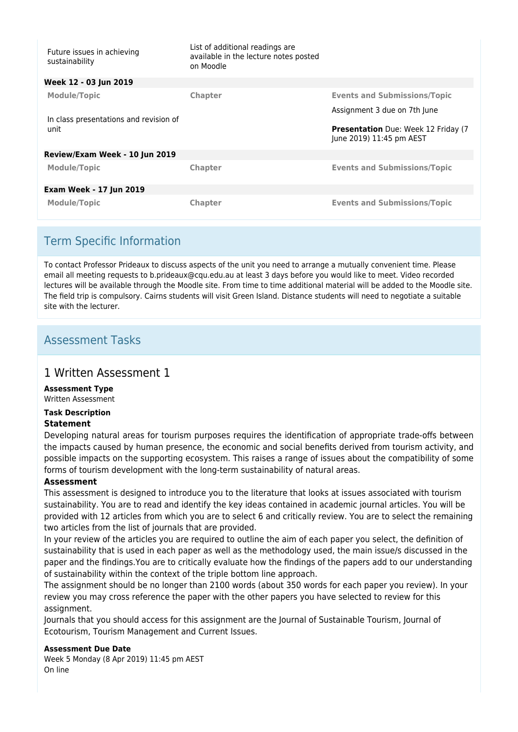| Future issues in achieving<br>sustainability   | List of additional readings are<br>available in the lecture notes posted<br>on Moodle |                                                                        |
|------------------------------------------------|---------------------------------------------------------------------------------------|------------------------------------------------------------------------|
| Week 12 - 03 Jun 2019                          |                                                                                       |                                                                        |
| <b>Module/Topic</b>                            | Chapter                                                                               | <b>Events and Submissions/Topic</b>                                    |
|                                                |                                                                                       | Assignment 3 due on 7th June                                           |
| In class presentations and revision of<br>unit |                                                                                       | <b>Presentation</b> Due: Week 12 Friday (7<br>June 2019) 11:45 pm AEST |
| Review/Exam Week - 10 Jun 2019                 |                                                                                       |                                                                        |
| <b>Module/Topic</b>                            | Chapter                                                                               | <b>Events and Submissions/Topic</b>                                    |
| <b>Exam Week - 17 Jun 2019</b>                 |                                                                                       |                                                                        |
| <b>Module/Topic</b>                            | Chapter                                                                               | <b>Events and Submissions/Topic</b>                                    |

# Term Specific Information

To contact Professor Prideaux to discuss aspects of the unit you need to arrange a mutually convenient time. Please email all meeting requests to b.prideaux@cqu.edu.au at least 3 days before you would like to meet. Video recorded lectures will be available through the Moodle site. From time to time additional material will be added to the Moodle site. The field trip is compulsory. Cairns students will visit Green Island. Distance students will need to negotiate a suitable site with the lecturer

# Assessment Tasks

## 1 Written Assessment 1

**Assessment Type**

Written Assessment

#### **Task Description Statement**

Developing natural areas for tourism purposes requires the identification of appropriate trade-offs between the impacts caused by human presence, the economic and social benefits derived from tourism activity, and possible impacts on the supporting ecosystem. This raises a range of issues about the compatibility of some forms of tourism development with the long-term sustainability of natural areas.

## **Assessment**

This assessment is designed to introduce you to the literature that looks at issues associated with tourism sustainability. You are to read and identify the key ideas contained in academic journal articles. You will be provided with 12 articles from which you are to select 6 and critically review. You are to select the remaining two articles from the list of journals that are provided.

In your review of the articles you are required to outline the aim of each paper you select, the definition of sustainability that is used in each paper as well as the methodology used, the main issue/s discussed in the paper and the findings.You are to critically evaluate how the findings of the papers add to our understanding of sustainability within the context of the triple bottom line approach.

The assignment should be no longer than 2100 words (about 350 words for each paper you review). In your review you may cross reference the paper with the other papers you have selected to review for this assignment.

Journals that you should access for this assignment are the Journal of Sustainable Tourism, Journal of Ecotourism, Tourism Management and Current Issues.

### **Assessment Due Date**

Week 5 Monday (8 Apr 2019) 11:45 pm AEST On line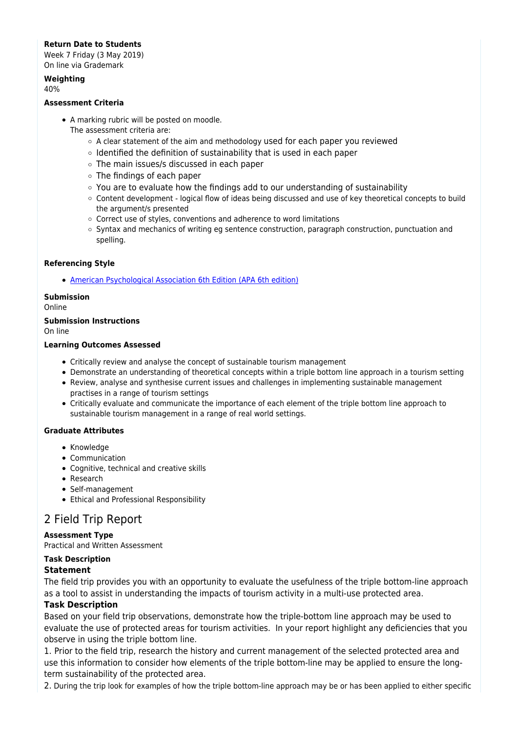### **Return Date to Students**

Week 7 Friday (3 May 2019) On line via Grademark

## **Weighting**

40%

### **Assessment Criteria**

- A marking rubric will be posted on moodle.
	- The assessment criteria are:
		- $\circ$  A clear statement of the aim and methodology used for each paper you reviewed
		- $\circ$  Identified the definition of sustainability that is used in each paper
		- The main issues/s discussed in each paper
		- The findings of each paper
		- You are to evaluate how the findings add to our understanding of sustainability
		- Content development logical flow of ideas being discussed and use of key theoretical concepts to build the argument/s presented
		- Correct use of styles, conventions and adherence to word limitations
		- $\circ$  Syntax and mechanics of writing eg sentence construction, paragraph construction, punctuation and spelling.

#### **Referencing Style**

[American Psychological Association 6th Edition \(APA 6th edition\)](https://sportal.cqu.edu.au/__data/assets/pdf_file/0026/107684/APA_Referencing_Guide-2019.pdf)

### **Submission**

Online

### **Submission Instructions**

On line

#### **Learning Outcomes Assessed**

- Critically review and analyse the concept of sustainable tourism management
- Demonstrate an understanding of theoretical concepts within a triple bottom line approach in a tourism setting
- Review, analyse and synthesise current issues and challenges in implementing sustainable management practises in a range of tourism settings
- Critically evaluate and communicate the importance of each element of the triple bottom line approach to sustainable tourism management in a range of real world settings.

#### **Graduate Attributes**

- Knowledge
- Communication
- Cognitive, technical and creative skills
- Research
- Self-management
- Ethical and Professional Responsibility

## 2 Field Trip Report

#### **Assessment Type**

Practical and Written Assessment

### **Task Description**

### **Statement**

The field trip provides you with an opportunity to evaluate the usefulness of the triple bottom-line approach as a tool to assist in understanding the impacts of tourism activity in a multi-use protected area.

### **Task Description**

Based on your field trip observations, demonstrate how the triple-bottom line approach may be used to evaluate the use of protected areas for tourism activities. In your report highlight any deficiencies that you observe in using the triple bottom line.

1. Prior to the field trip, research the history and current management of the selected protected area and use this information to consider how elements of the triple bottom-line may be applied to ensure the longterm sustainability of the protected area.

2. During the trip look for examples of how the triple bottom-line approach may be or has been applied to either specific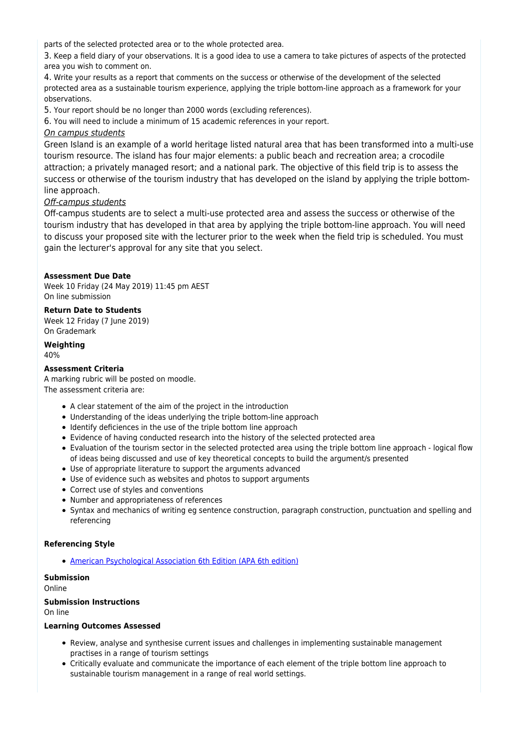parts of the selected protected area or to the whole protected area.

3. Keep a field diary of your observations. It is a good idea to use a camera to take pictures of aspects of the protected area you wish to comment on.

4. Write your results as a report that comments on the success or otherwise of the development of the selected protected area as a sustainable tourism experience, applying the triple bottom-line approach as a framework for your observations.

5. Your report should be no longer than 2000 words (excluding references).

6. You will need to include a minimum of 15 academic references in your report.

### On campus students

Green Island is an example of a world heritage listed natural area that has been transformed into a multi-use tourism resource. The island has four major elements: a public beach and recreation area; a crocodile attraction; a privately managed resort; and a national park. The objective of this field trip is to assess the success or otherwise of the tourism industry that has developed on the island by applying the triple bottomline approach.

### Off-campus students

Off-campus students are to select a multi-use protected area and assess the success or otherwise of the tourism industry that has developed in that area by applying the triple bottom-line approach. You will need to discuss your proposed site with the lecturer prior to the week when the field trip is scheduled. You must gain the lecturer's approval for any site that you select.

### **Assessment Due Date**

Week 10 Friday (24 May 2019) 11:45 pm AEST On line submission

#### **Return Date to Students**

Week 12 Friday (7 June 2019) On Grademark

**Weighting** 40%

### **Assessment Criteria**

A marking rubric will be posted on moodle. The assessment criteria are:

- A clear statement of the aim of the project in the introduction
- Understanding of the ideas underlying the triple bottom-line approach
- Identify deficiences in the use of the triple bottom line approach
- Evidence of having conducted research into the history of the selected protected area
- Evaluation of the tourism sector in the selected protected area using the triple bottom line approach logical flow of ideas being discussed and use of key theoretical concepts to build the argument/s presented
- Use of appropriate literature to support the arguments advanced
- Use of evidence such as websites and photos to support arguments
- Correct use of styles and conventions
- Number and appropriateness of references
- Syntax and mechanics of writing eg sentence construction, paragraph construction, punctuation and spelling and referencing

### **Referencing Style**

[American Psychological Association 6th Edition \(APA 6th edition\)](https://sportal.cqu.edu.au/__data/assets/pdf_file/0026/107684/APA_Referencing_Guide-2019.pdf)

## **Submission**

Online

#### **Submission Instructions**

On line

#### **Learning Outcomes Assessed**

- Review, analyse and synthesise current issues and challenges in implementing sustainable management practises in a range of tourism settings
- Critically evaluate and communicate the importance of each element of the triple bottom line approach to sustainable tourism management in a range of real world settings.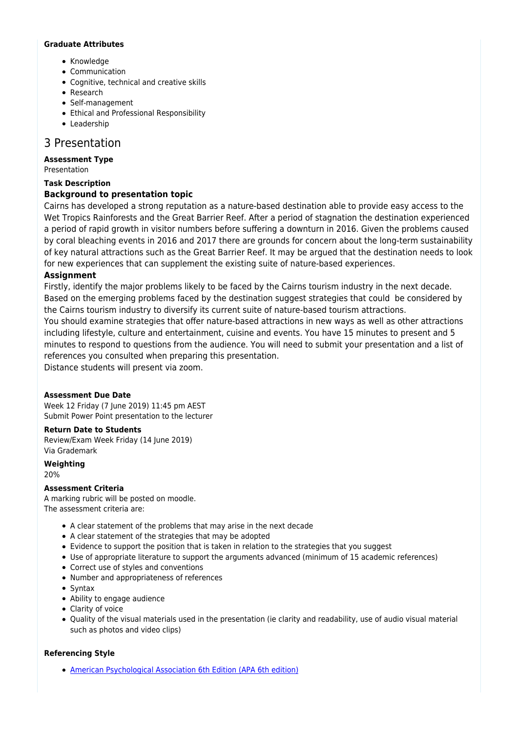#### **Graduate Attributes**

- Knowledge
- Communication
- Cognitive, technical and creative skills
- Research
- Self-management
- Ethical and Professional Responsibility
- Leadership

# 3 Presentation

### **Assessment Type**

Presentation

## **Task Description**

## **Background to presentation topic**

Cairns has developed a strong reputation as a nature-based destination able to provide easy access to the Wet Tropics Rainforests and the Great Barrier Reef. After a period of stagnation the destination experienced a period of rapid growth in visitor numbers before suffering a downturn in 2016. Given the problems caused by coral bleaching events in 2016 and 2017 there are grounds for concern about the long-term sustainability of key natural attractions such as the Great Barrier Reef. It may be argued that the destination needs to look for new experiences that can supplement the existing suite of nature-based experiences.

### **Assignment**

Firstly, identify the major problems likely to be faced by the Cairns tourism industry in the next decade. Based on the emerging problems faced by the destination suggest strategies that could be considered by the Cairns tourism industry to diversify its current suite of nature-based tourism attractions.

You should examine strategies that offer nature-based attractions in new ways as well as other attractions including lifestyle, culture and entertainment, cuisine and events. You have 15 minutes to present and 5 minutes to respond to questions from the audience. You will need to submit your presentation and a list of references you consulted when preparing this presentation.

Distance students will present via zoom.

### **Assessment Due Date**

Week 12 Friday (7 June 2019) 11:45 pm AEST Submit Power Point presentation to the lecturer

### **Return Date to Students**

Review/Exam Week Friday (14 June 2019) Via Grademark

**Weighting**

20%

### **Assessment Criteria**

A marking rubric will be posted on moodle. The assessment criteria are:

- A clear statement of the problems that may arise in the next decade
- A clear statement of the strategies that may be adopted
- Evidence to support the position that is taken in relation to the strategies that you suggest
- Use of appropriate literature to support the arguments advanced (minimum of 15 academic references)
- Correct use of styles and conventions
- Number and appropriateness of references
- Syntax
- Ability to engage audience
- Clarity of voice
- Quality of the visual materials used in the presentation (ie clarity and readability, use of audio visual material such as photos and video clips)

### **Referencing Style**

[American Psychological Association 6th Edition \(APA 6th edition\)](https://sportal.cqu.edu.au/__data/assets/pdf_file/0026/107684/APA_Referencing_Guide-2019.pdf)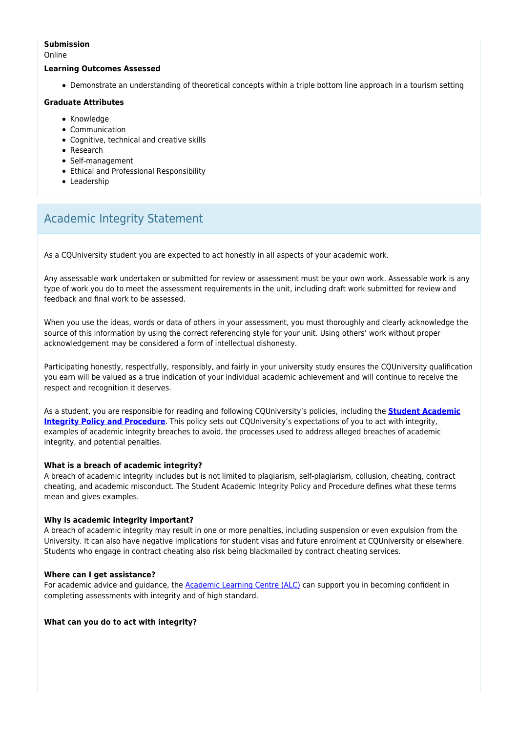#### **Submission**

Online

#### **Learning Outcomes Assessed**

Demonstrate an understanding of theoretical concepts within a triple bottom line approach in a tourism setting

#### **Graduate Attributes**

- Knowledge
- Communication
- Cognitive, technical and creative skills
- Research
- Self-management
- Ethical and Professional Responsibility
- Leadership

# Academic Integrity Statement

As a CQUniversity student you are expected to act honestly in all aspects of your academic work.

Any assessable work undertaken or submitted for review or assessment must be your own work. Assessable work is any type of work you do to meet the assessment requirements in the unit, including draft work submitted for review and feedback and final work to be assessed.

When you use the ideas, words or data of others in your assessment, you must thoroughly and clearly acknowledge the source of this information by using the correct referencing style for your unit. Using others' work without proper acknowledgement may be considered a form of intellectual dishonesty.

Participating honestly, respectfully, responsibly, and fairly in your university study ensures the CQUniversity qualification you earn will be valued as a true indication of your individual academic achievement and will continue to receive the respect and recognition it deserves.

As a student, you are responsible for reading and following CQUniversity's policies, including the **[Student Academic](https://www.cqu.edu.au/policy/sharepoint-document-download?file_uri={BE8380F3-F86D-4C55-AC0D-84A81EAFD6A2}/Student%20Academic%20Integrity%20Policy%20and%20Procedure%20(formerly%20known%20as%20the%20Academic%20Misconduct%20Procedure).pdf) [Integrity Policy and Procedure](https://www.cqu.edu.au/policy/sharepoint-document-download?file_uri={BE8380F3-F86D-4C55-AC0D-84A81EAFD6A2}/Student%20Academic%20Integrity%20Policy%20and%20Procedure%20(formerly%20known%20as%20the%20Academic%20Misconduct%20Procedure).pdf)**. This policy sets out CQUniversity's expectations of you to act with integrity, examples of academic integrity breaches to avoid, the processes used to address alleged breaches of academic integrity, and potential penalties.

#### **What is a breach of academic integrity?**

A breach of academic integrity includes but is not limited to plagiarism, self-plagiarism, collusion, cheating, contract cheating, and academic misconduct. The Student Academic Integrity Policy and Procedure defines what these terms mean and gives examples.

#### **Why is academic integrity important?**

A breach of academic integrity may result in one or more penalties, including suspension or even expulsion from the University. It can also have negative implications for student visas and future enrolment at CQUniversity or elsewhere. Students who engage in contract cheating also risk being blackmailed by contract cheating services.

#### **Where can I get assistance?**

For academic advice and guidance, the [Academic Learning Centre \(ALC\)](https://www.cqu.edu.au/student-life/academic-learning-centre) can support you in becoming confident in completing assessments with integrity and of high standard.

**What can you do to act with integrity?**